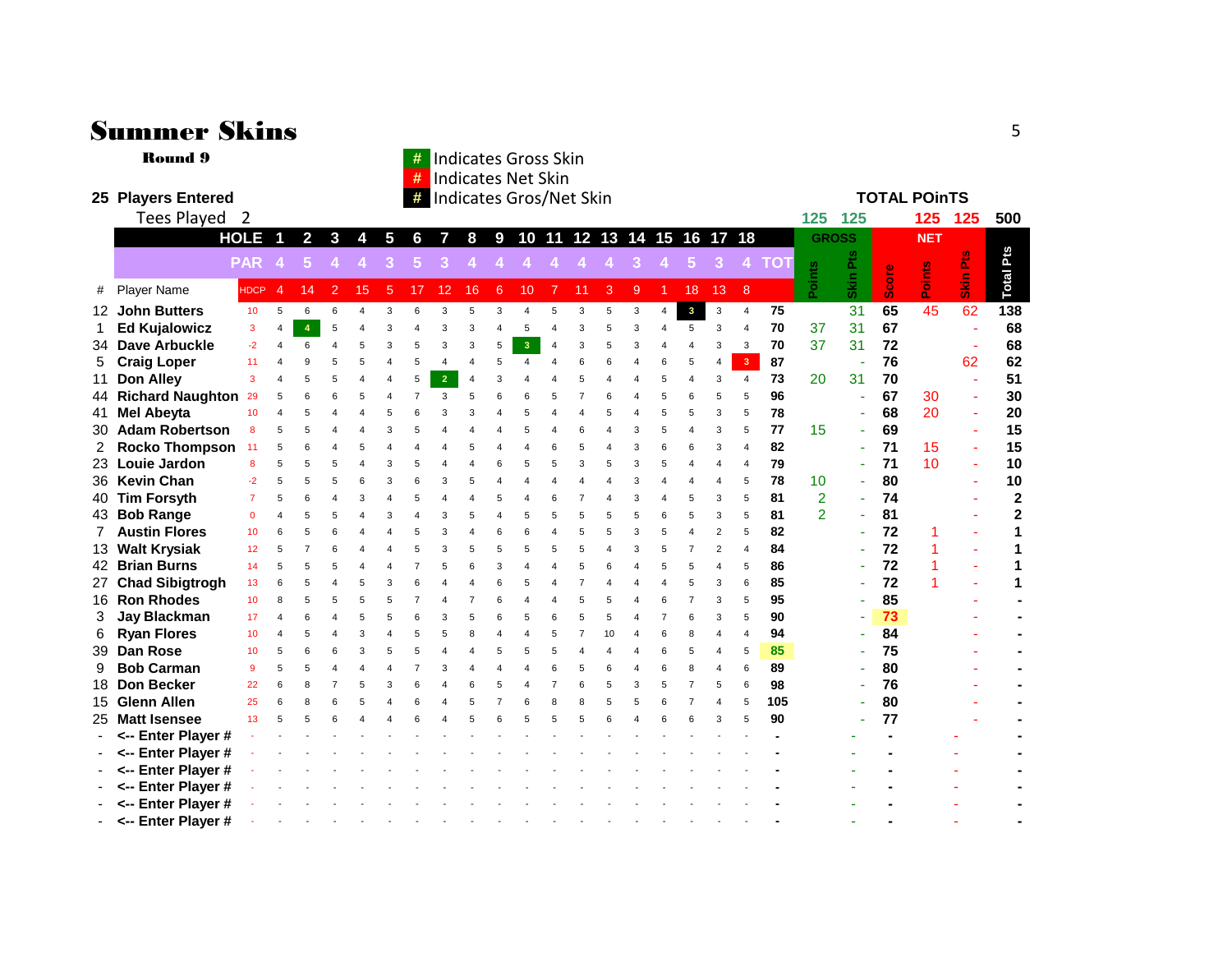|    | Summer Skins<br>5                                                                                     |                                                                    |                |                |                         |                |                |                |                |                                                          |                |                         |                       |                         |                         |                       |                         |                |                         |                         |       |                |                 |       |                 |             |                         |
|----|-------------------------------------------------------------------------------------------------------|--------------------------------------------------------------------|----------------|----------------|-------------------------|----------------|----------------|----------------|----------------|----------------------------------------------------------|----------------|-------------------------|-----------------------|-------------------------|-------------------------|-----------------------|-------------------------|----------------|-------------------------|-------------------------|-------|----------------|-----------------|-------|-----------------|-------------|-------------------------|
|    | <b>Round 9</b>                                                                                        | <b>Indicates Gross Skin</b><br>#<br><b>Indicates Net Skin</b><br># |                |                |                         |                |                |                |                |                                                          |                |                         |                       |                         |                         |                       |                         |                |                         |                         |       |                |                 |       |                 |             |                         |
|    | 25 Players Entered                                                                                    |                                                                    |                |                |                         |                |                |                |                |                                                          |                |                         |                       |                         |                         |                       |                         |                | <b>TOTAL POInTS</b>     |                         |       |                |                 |       |                 |             |                         |
|    | Tees Played 2                                                                                         |                                                                    |                |                | Indicates Gros/Net Skin |                |                |                |                |                                                          |                |                         |                       |                         |                         |                       |                         | 125 125        |                         |                         | 125   | 125            | 500             |       |                 |             |                         |
|    | <b>HOLE</b><br>$\overline{\mathbf{1}}$<br>$\overline{2}$<br>$\mathbf{3}$<br>$5\phantom{.0}$<br>4<br>6 |                                                                    |                |                |                         |                |                |                |                | 10 11 12 13 14 15 16 17 18<br>8<br>$\boldsymbol{9}$<br>7 |                |                         |                       |                         |                         |                       |                         |                |                         |                         |       | <b>GROSS</b>   |                 |       | <b>NET</b>      |             |                         |
|    |                                                                                                       | <b>PAR</b>                                                         |                | 5              |                         |                | 3              | 5              |                |                                                          |                |                         |                       |                         |                         |                       |                         | 5              | 3                       |                         | 4 TOT |                | Pts             |       |                 | 운           | Pts                     |
|    |                                                                                                       |                                                                    |                |                |                         |                |                |                |                |                                                          |                |                         |                       |                         |                         |                       |                         |                |                         |                         |       | Points         |                 | Score | Points          |             |                         |
| #  | <b>Player Name</b>                                                                                    | <b>HDCP</b>                                                        | $\overline{4}$ | 14             | $\overline{2}$          | 15             | 5              | 17             | 12             | 16                                                       | 6              | 10                      |                       | 11                      | 3                       | 9                     |                         | 18             | 13                      | 8                       |       |                | <b>Skin</b>     |       |                 | $rac{1}{2}$ | Total                   |
|    | 12 John Butters                                                                                       | 10 <sup>°</sup>                                                    | 5              | 6              | 6                       | $\overline{4}$ | 3              | 6              | 3              | 5                                                        | 3              | $\overline{A}$          | 5                     | 3                       | 5                       | $\mathsf 3$           | $\overline{4}$          | $\mathbf{3}$   | 3                       | $\overline{4}$          | 75    |                | $\overline{31}$ | 65    | $\overline{45}$ | 62          | 138                     |
| 1  | <b>Ed Kujalowicz</b>                                                                                  | 3                                                                  | $\overline{4}$ | $\overline{4}$ | 5                       | $\overline{4}$ | 3              | 4              | 3              | 3                                                        | 4              | 5                       | $\overline{A}$        | 3                       | 5                       | 3                     | $\overline{4}$          | 5              | 3                       | $\overline{\mathbf{4}}$ | 70    | 37             | 31              | 67    |                 |             | 68                      |
| 34 | <b>Dave Arbuckle</b>                                                                                  | $-2$                                                               | $\overline{4}$ | 6              | $\overline{\mathbf{A}}$ | 5              | 3              | 5              | 3              | 3                                                        | 5              | $\overline{\mathbf{3}}$ | $\overline{4}$        | 3                       | 5                       | 3                     | $\overline{4}$          | 4              | 3                       | 3                       | 70    | 37             | 31              | 72    |                 |             | 68                      |
| 5  | <b>Craig Loper</b>                                                                                    | 11                                                                 | $\overline{4}$ | 9              | 5                       | 5              | $\overline{4}$ | 5              | $\overline{4}$ | $\overline{4}$                                           | 5              | $\overline{4}$          | $\overline{4}$        | 6                       | 6                       | $\overline{4}$        | 6                       | 5              | 4                       | 3 <sup>7</sup>          | 87    |                |                 | 76    |                 | 62          | 62                      |
| 11 | Don Alley                                                                                             | 3                                                                  | $\Delta$       | 5              | 5                       | $\overline{4}$ | $\overline{4}$ | 5              | $\overline{2}$ | $\overline{4}$                                           | 3              |                         |                       | 5                       | $\overline{\mathbf{A}}$ | $\overline{4}$        | 5                       | $\overline{4}$ | 3                       | $\overline{4}$          | 73    | 20             | 31              | 70    |                 | $\sim$      | 51                      |
|    | 44 Richard Naughton 29                                                                                |                                                                    | 5              |                | 6                       | 5              | 4              | $\overline{7}$ | 3              | 5                                                        | 6              | 6                       | 5                     | $\overline{7}$          | 6                       | $\boldsymbol{\Delta}$ | 5                       | 6              | 5                       | 5                       | 96    |                |                 | 67    | 30              | ÷.          | 30                      |
| 41 | <b>Mel Abeyta</b>                                                                                     | 10                                                                 | $\Delta$       | 5              | 4                       | $\overline{4}$ | 5              | 6              | 3              | 3                                                        | 4              | 5                       | $\boldsymbol{\Delta}$ | $\overline{\mathbf{A}}$ | 5                       | $\boldsymbol{\Delta}$ | 5                       | 5              | 3                       | 5                       | 78    |                |                 | 68    | 20              | ٠           | 20                      |
|    | 30 Adam Robertson                                                                                     | 8                                                                  | 5              | 5              | $\overline{\mathbf{A}}$ | $\overline{4}$ | 3              | 5              | $\overline{4}$ | $\overline{4}$                                           | 4              | 5                       | $\boldsymbol{\Delta}$ | 6                       | $\overline{\mathbf{A}}$ | 3                     | 5                       | 4              | 3                       | 5                       | 77    | 15             |                 | 69    |                 | ÷.          | 15                      |
| 2  | <b>Rocko Thompson</b>                                                                                 | 11                                                                 | 5              | 6              | $\overline{4}$          | 5              | $\overline{4}$ | 4              | $\overline{4}$ | 5                                                        | 4              | $\overline{4}$          | 6                     | 5                       | 4                       | 3                     | 6                       | 6              | 3                       | $\overline{4}$          | 82    |                |                 | 71    | 15              |             | 15                      |
|    | 23 Louie Jardon                                                                                       | 8                                                                  | 5              | 5              | 5                       | $\overline{4}$ | 3              | 5              | $\overline{4}$ | $\overline{4}$                                           | 6              | 5                       | 5                     | 3                       | 5                       | 3                     | 5                       | $\overline{4}$ | $\overline{\mathbf{A}}$ | $\overline{4}$          | 79    |                | ÷.              | 71    | 10              | ÷           | 10                      |
|    | 36 Kevin Chan                                                                                         | $-2$                                                               | 5              | 5              | 5                       | 6              | 3              | 6              | 3              | 5                                                        | 4              | $\overline{4}$          | $\boldsymbol{\Delta}$ | 4                       | $\overline{\mathbf{A}}$ | 3                     | $\overline{4}$          | 4              | $\overline{4}$          | 5                       | 78    | 10             |                 | 80    |                 | ٠           | 10                      |
|    | 40 Tim Forsyth                                                                                        | $\overline{7}$                                                     | 5              | 6              | $\overline{\mathbf{A}}$ | 3              | $\overline{4}$ | 5              | $\overline{4}$ | $\overline{4}$                                           | 5              | $\overline{4}$          | 6                     | $\overline{7}$          | $\overline{4}$          | 3                     | $\overline{\mathbf{A}}$ | 5              | 3                       | 5                       | 81    | $\overline{2}$ |                 | 74    |                 |             | $\mathbf{2}$            |
|    | 43 Bob Range                                                                                          | $\mathbf{0}$                                                       | $\overline{4}$ | 5              | 5                       | $\overline{4}$ | 3              | $\overline{4}$ | 3              | 5                                                        | 4              | 5                       | 5                     | 5                       | 5                       | 5                     | 6                       | 5              | 3                       | 5                       | 81    | $\overline{2}$ |                 | 81    |                 |             | $\overline{\mathbf{2}}$ |
| 7  | <b>Austin Flores</b>                                                                                  | 10                                                                 | 6              | 5              | 6                       | $\overline{4}$ | $\overline{4}$ | 5              | 3              | $\overline{4}$                                           | 6              | 6                       | $\overline{4}$        | 5                       | 5                       | 3                     | 5                       | $\overline{4}$ | 2                       | 5                       | 82    |                |                 | 72    | 1               |             | 1                       |
|    | 13 Walt Krysiak                                                                                       | 12 <sup>2</sup>                                                    | 5              | $\overline{7}$ | 6                       | $\overline{4}$ | $\overline{4}$ | 5              | 3              | 5                                                        | 5              | 5                       | 5                     | 5                       | $\overline{4}$          | 3                     | 5                       | $\overline{7}$ | $\overline{2}$          | $\overline{4}$          | 84    |                |                 | 72    | 1               | ÷           | 1                       |
|    | 42 Brian Burns                                                                                        | 14                                                                 | 5              | 5              | 5                       | $\overline{4}$ |                | $\overline{7}$ | 5              | 6                                                        | 3              | $\overline{4}$          |                       | 5                       | 6                       | $\overline{4}$        | 5                       | 5              | $\overline{4}$          | 5                       | 86    |                |                 | 72    | 1               |             | 1                       |
|    | 27 Chad Sibigtrogh                                                                                    | 13                                                                 | 6              | 5              | $\overline{\mathbf{A}}$ | 5              | 3              | 6              | $\Delta$       | $\overline{4}$                                           | 6              | 5                       | $\Delta$              | $\overline{7}$          | $\Delta$                | $\overline{A}$        | $\overline{\mathbf{A}}$ | 5              | 3                       | 6                       | 85    |                |                 | 72    |                 |             | 1                       |
|    | 16 Ron Rhodes                                                                                         | 10 <sub>1</sub>                                                    | 8              | 5              | 5                       | 5              | 5              | $\overline{7}$ | $\overline{4}$ | $\overline{7}$                                           | 6              | $\overline{4}$          | $\overline{4}$        | 5                       | 5                       | $\overline{4}$        | 6                       | $\overline{7}$ | 3                       | 5                       | 95    |                |                 | 85    |                 |             |                         |
| 3  | <b>Jay Blackman</b>                                                                                   | 17                                                                 | $\overline{4}$ | 6              | $\overline{4}$          | 5              | 5              | 6              | 3              | 5                                                        | 6              | 5                       | 6                     | 5                       | 5                       | $\overline{A}$        | $\overline{7}$          | 6              | 3                       | 5                       | 90    |                |                 | 73    |                 |             |                         |
| 6  | <b>Ryan Flores</b>                                                                                    | 10                                                                 | $\overline{4}$ | 5              | $\overline{4}$          | 3              | $\overline{4}$ | 5              | 5              | 8                                                        | 4              | $\overline{4}$          | 5                     | $\overline{7}$          | 10                      | $\overline{4}$        | 6                       | 8              | 4                       | $\overline{4}$          | 94    |                |                 | 84    |                 |             |                         |
| 39 | <b>Dan Rose</b>                                                                                       | 10                                                                 | 5              | 6              | 6                       | 3              | 5              | 5              | $\overline{4}$ | $\overline{4}$                                           | 5              | 5                       | 5                     | $\overline{\mathbf{A}}$ | $\overline{\mathbf{A}}$ | $\boldsymbol{\Delta}$ | 6                       | 5              | $\overline{4}$          | 5                       | 85    |                |                 | 75    |                 |             |                         |
| 9  | <b>Bob Carman</b>                                                                                     | 9                                                                  | 5              | 5              | $\Delta$                | $\overline{4}$ | $\Delta$       | $\overline{7}$ | 3              | $\overline{4}$                                           | 4              | $\overline{4}$          | 6                     | 5                       | 6                       | $\overline{4}$        | 6                       | 8              | $\overline{4}$          | 6                       | 89    |                |                 | 80    |                 |             |                         |
| 18 | <b>Don Becker</b>                                                                                     | 22                                                                 | 6              | 8              | $\overline{7}$          | 5              | 3              | 6              | $\overline{4}$ | 6                                                        | 5              | $\overline{4}$          | $\overline{7}$        | 6                       | 5                       | 3                     | 5                       | $\overline{7}$ | 5                       | 6                       | 98    |                |                 | 76    |                 |             |                         |
|    | 15 Glenn Allen                                                                                        | 25                                                                 | 6              | R              | 6                       | 5              | $\overline{4}$ | 6              | $\Delta$       | 5                                                        | $\overline{7}$ | 6                       | 8                     | 8                       | 5                       | 5                     | 6                       | $\overline{7}$ | $\overline{\mathbf{A}}$ | 5                       | 105   |                |                 | 80    |                 |             |                         |
|    | 25 Matt Isensee                                                                                       | 13                                                                 | 5              |                |                         |                |                | 6              |                |                                                          | 6              | 5                       | 5                     | 5                       | 6                       |                       | 6                       | 6              | 3                       | 5                       | 90    |                |                 | 77    |                 |             |                         |
|    | <-- Enter Player #                                                                                    |                                                                    |                |                |                         |                |                |                |                |                                                          |                |                         |                       |                         |                         |                       |                         |                |                         |                         |       |                |                 |       |                 |             |                         |
|    | <-- Enter Player #                                                                                    |                                                                    |                |                |                         |                |                |                |                |                                                          |                |                         |                       |                         |                         |                       |                         |                |                         |                         |       |                |                 |       |                 |             |                         |
|    | <-- Enter Player #                                                                                    |                                                                    |                |                |                         |                |                |                |                |                                                          |                |                         |                       |                         |                         |                       |                         |                |                         |                         |       |                |                 |       |                 |             |                         |
|    | <-- Enter Player #                                                                                    |                                                                    |                |                |                         |                |                |                |                |                                                          |                |                         |                       |                         |                         |                       |                         |                |                         |                         |       |                |                 |       |                 |             |                         |
|    | <-- Enter Player #                                                                                    |                                                                    |                |                |                         |                |                |                |                |                                                          |                |                         |                       |                         |                         |                       |                         |                |                         |                         |       |                |                 |       |                 |             |                         |
|    | <-- Enter Player #                                                                                    |                                                                    |                |                |                         |                |                |                |                |                                                          |                |                         |                       |                         |                         |                       |                         |                |                         |                         |       |                |                 |       |                 |             |                         |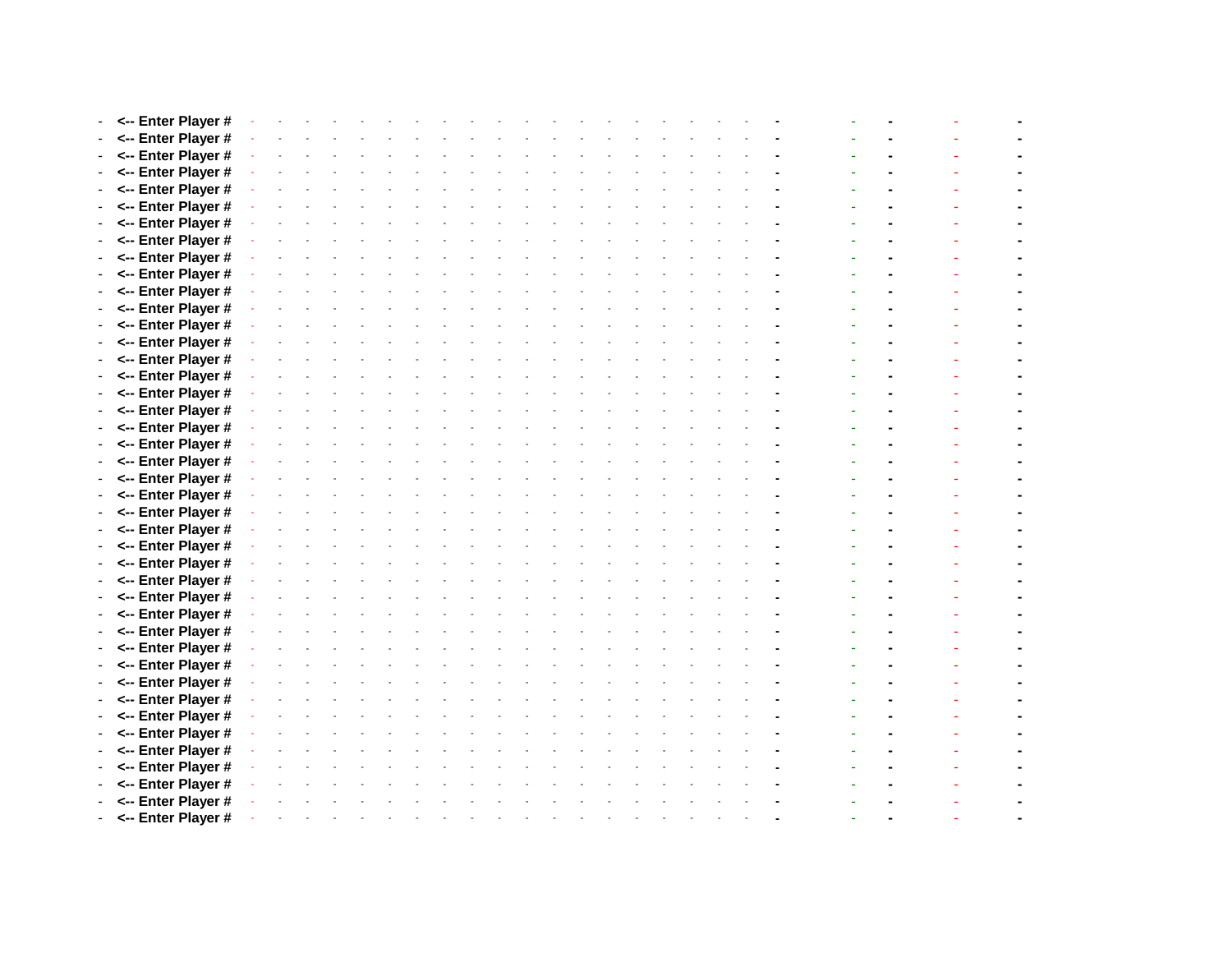| <-- Enter Player #   |  |  |  |  |  |  |  |  |  |  |  |  |  |
|----------------------|--|--|--|--|--|--|--|--|--|--|--|--|--|
| - <-- Enter Player # |  |  |  |  |  |  |  |  |  |  |  |  |  |
| - <-- Enter Player # |  |  |  |  |  |  |  |  |  |  |  |  |  |
| <-- Enter Player #   |  |  |  |  |  |  |  |  |  |  |  |  |  |
| <-- Enter Player #   |  |  |  |  |  |  |  |  |  |  |  |  |  |
| <-- Enter Player #   |  |  |  |  |  |  |  |  |  |  |  |  |  |
| - <-- Enter Player # |  |  |  |  |  |  |  |  |  |  |  |  |  |
| - <-- Enter Player # |  |  |  |  |  |  |  |  |  |  |  |  |  |
| <-- Enter Player #   |  |  |  |  |  |  |  |  |  |  |  |  |  |
| <-- Enter Player #   |  |  |  |  |  |  |  |  |  |  |  |  |  |
| <-- Enter Player #   |  |  |  |  |  |  |  |  |  |  |  |  |  |
| - <-- Enter Player # |  |  |  |  |  |  |  |  |  |  |  |  |  |
| <-- Enter Player #   |  |  |  |  |  |  |  |  |  |  |  |  |  |
| <-- Enter Player #   |  |  |  |  |  |  |  |  |  |  |  |  |  |
| <-- Enter Player #   |  |  |  |  |  |  |  |  |  |  |  |  |  |
| - <-- Enter Player # |  |  |  |  |  |  |  |  |  |  |  |  |  |
| - <-- Enter Player # |  |  |  |  |  |  |  |  |  |  |  |  |  |
| <-- Enter Player #   |  |  |  |  |  |  |  |  |  |  |  |  |  |
| <-- Enter Player #   |  |  |  |  |  |  |  |  |  |  |  |  |  |
| <-- Enter Player #   |  |  |  |  |  |  |  |  |  |  |  |  |  |
| - <-- Enter Player # |  |  |  |  |  |  |  |  |  |  |  |  |  |
| <-- Enter Player #   |  |  |  |  |  |  |  |  |  |  |  |  |  |
| <-- Enter Player #   |  |  |  |  |  |  |  |  |  |  |  |  |  |
| <-- Enter Player #   |  |  |  |  |  |  |  |  |  |  |  |  |  |
| - <-- Enter Player # |  |  |  |  |  |  |  |  |  |  |  |  |  |
| - <-- Enter Player # |  |  |  |  |  |  |  |  |  |  |  |  |  |
| <-- Enter Player #   |  |  |  |  |  |  |  |  |  |  |  |  |  |
| <-- Enter Player #   |  |  |  |  |  |  |  |  |  |  |  |  |  |
| <-- Enter Player #   |  |  |  |  |  |  |  |  |  |  |  |  |  |
| - <-- Enter Player # |  |  |  |  |  |  |  |  |  |  |  |  |  |
| <-- Enter Player #   |  |  |  |  |  |  |  |  |  |  |  |  |  |
| <-- Enter Player #   |  |  |  |  |  |  |  |  |  |  |  |  |  |
| <-- Enter Player #   |  |  |  |  |  |  |  |  |  |  |  |  |  |
| - <-- Enter Player # |  |  |  |  |  |  |  |  |  |  |  |  |  |
| - <-- Enter Player # |  |  |  |  |  |  |  |  |  |  |  |  |  |
| <-- Enter Player #   |  |  |  |  |  |  |  |  |  |  |  |  |  |
| <-- Enter Player #   |  |  |  |  |  |  |  |  |  |  |  |  |  |
| <-- Enter Player #   |  |  |  |  |  |  |  |  |  |  |  |  |  |
| - <-- Enter Player # |  |  |  |  |  |  |  |  |  |  |  |  |  |
| <-- Enter Player #   |  |  |  |  |  |  |  |  |  |  |  |  |  |
| <-- Enter Player #   |  |  |  |  |  |  |  |  |  |  |  |  |  |
| <-- Enter Player #   |  |  |  |  |  |  |  |  |  |  |  |  |  |